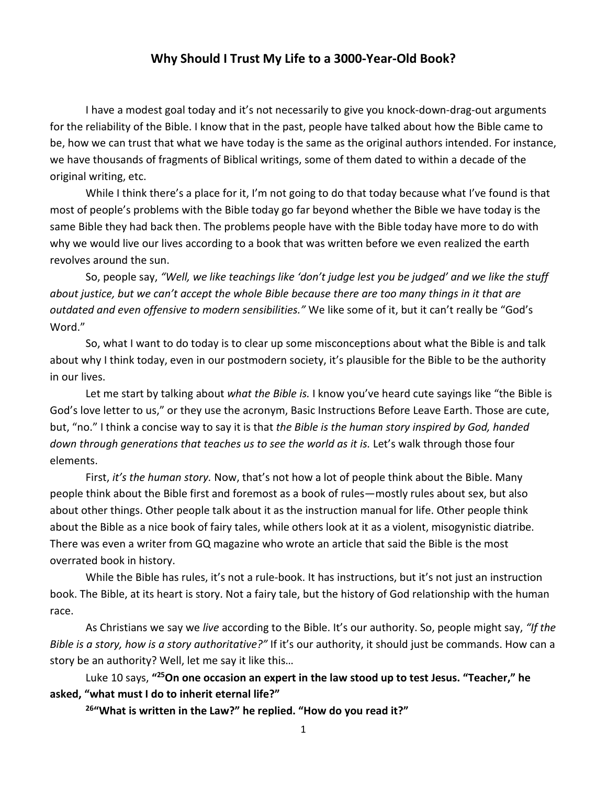## **Why Should I Trust My Life to a 3000-Year-Old Book?**

I have a modest goal today and it's not necessarily to give you knock-down-drag-out arguments for the reliability of the Bible. I know that in the past, people have talked about how the Bible came to be, how we can trust that what we have today is the same as the original authors intended. For instance, we have thousands of fragments of Biblical writings, some of them dated to within a decade of the original writing, etc.

While I think there's a place for it, I'm not going to do that today because what I've found is that most of people's problems with the Bible today go far beyond whether the Bible we have today is the same Bible they had back then. The problems people have with the Bible today have more to do with why we would live our lives according to a book that was written before we even realized the earth revolves around the sun.

So, people say, *"Well, we like teachings like 'don't judge lest you be judged' and we like the stuff about justice, but we can't accept the whole Bible because there are too many things in it that are outdated and even offensive to modern sensibilities."* We like some of it, but it can't really be "God's Word."

So, what I want to do today is to clear up some misconceptions about what the Bible is and talk about why I think today, even in our postmodern society, it's plausible for the Bible to be the authority in our lives.

Let me start by talking about *what the Bible is.* I know you've heard cute sayings like "the Bible is God's love letter to us," or they use the acronym, Basic Instructions Before Leave Earth. Those are cute, but, "no." I think a concise way to say it is that *the Bible is the human story inspired by God, handed down through generations that teaches us to see the world as it is.* Let's walk through those four elements.

First, *it's the human story.* Now, that's not how a lot of people think about the Bible. Many people think about the Bible first and foremost as a book of rules—mostly rules about sex, but also about other things. Other people talk about it as the instruction manual for life. Other people think about the Bible as a nice book of fairy tales, while others look at it as a violent, misogynistic diatribe. There was even a writer from GQ magazine who wrote an article that said the Bible is the most overrated book in history.

While the Bible has rules, it's not a rule-book. It has instructions, but it's not just an instruction book. The Bible, at its heart is story. Not a fairy tale, but the history of God relationship with the human race.

As Christians we say we *live* according to the Bible. It's our authority. So, people might say, *"If the Bible is a story, how is a story authoritative?"* If it's our authority, it should just be commands. How can a story be an authority? Well, let me say it like this…

Luke 10 says, **"25On one occasion an expert in the law stood up to test Jesus. "Teacher," he asked, "what must I do to inherit eternal life?"**

**26"What is written in the Law?" he replied. "How do you read it?"**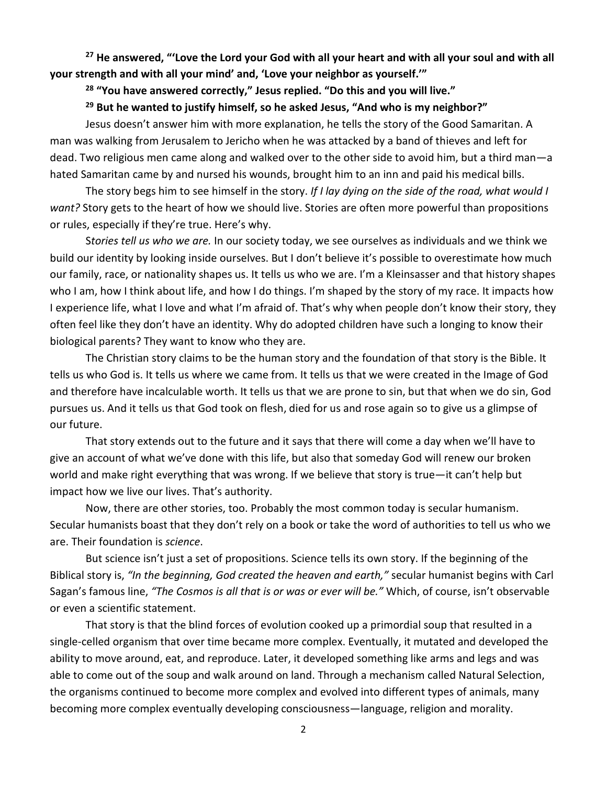**<sup>27</sup> He answered, "'Love the Lord your God with all your heart and with all your soul and with all your strength and with all your mind' and, 'Love your neighbor as yourself.'"**

**<sup>28</sup> "You have answered correctly," Jesus replied. "Do this and you will live."**

**<sup>29</sup> But he wanted to justify himself, so he asked Jesus, "And who is my neighbor?"**

Jesus doesn't answer him with more explanation, he tells the story of the Good Samaritan. A man was walking from Jerusalem to Jericho when he was attacked by a band of thieves and left for dead. Two religious men came along and walked over to the other side to avoid him, but a third man—a hated Samaritan came by and nursed his wounds, brought him to an inn and paid his medical bills.

The story begs him to see himself in the story. *If I lay dying on the side of the road, what would I want?* Story gets to the heart of how we should live. Stories are often more powerful than propositions or rules, especially if they're true. Here's why.

S*tories tell us who we are.* In our society today, we see ourselves as individuals and we think we build our identity by looking inside ourselves. But I don't believe it's possible to overestimate how much our family, race, or nationality shapes us. It tells us who we are. I'm a Kleinsasser and that history shapes who I am, how I think about life, and how I do things. I'm shaped by the story of my race. It impacts how I experience life, what I love and what I'm afraid of. That's why when people don't know their story, they often feel like they don't have an identity. Why do adopted children have such a longing to know their biological parents? They want to know who they are.

The Christian story claims to be the human story and the foundation of that story is the Bible. It tells us who God is. It tells us where we came from. It tells us that we were created in the Image of God and therefore have incalculable worth. It tells us that we are prone to sin, but that when we do sin, God pursues us. And it tells us that God took on flesh, died for us and rose again so to give us a glimpse of our future.

That story extends out to the future and it says that there will come a day when we'll have to give an account of what we've done with this life, but also that someday God will renew our broken world and make right everything that was wrong. If we believe that story is true—it can't help but impact how we live our lives. That's authority.

Now, there are other stories, too. Probably the most common today is secular humanism. Secular humanists boast that they don't rely on a book or take the word of authorities to tell us who we are. Their foundation is *science*.

But science isn't just a set of propositions. Science tells its own story. If the beginning of the Biblical story is, *"In the beginning, God created the heaven and earth,"* secular humanist begins with Carl Sagan's famous line, *"The Cosmos is all that is or was or ever will be."* Which, of course, isn't observable or even a scientific statement.

That story is that the blind forces of evolution cooked up a primordial soup that resulted in a single-celled organism that over time became more complex. Eventually, it mutated and developed the ability to move around, eat, and reproduce. Later, it developed something like arms and legs and was able to come out of the soup and walk around on land. Through a mechanism called Natural Selection, the organisms continued to become more complex and evolved into different types of animals, many becoming more complex eventually developing consciousness—language, religion and morality.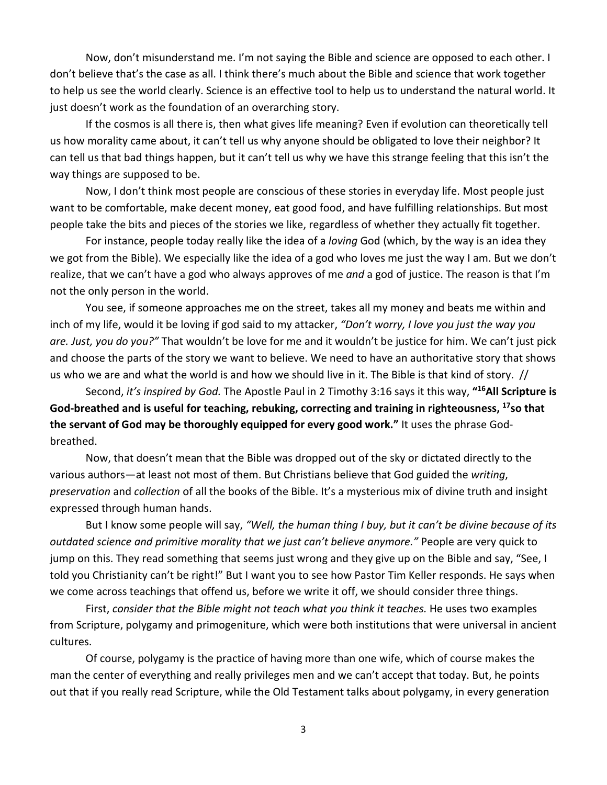Now, don't misunderstand me. I'm not saying the Bible and science are opposed to each other. I don't believe that's the case as all. I think there's much about the Bible and science that work together to help us see the world clearly. Science is an effective tool to help us to understand the natural world. It just doesn't work as the foundation of an overarching story.

If the cosmos is all there is, then what gives life meaning? Even if evolution can theoretically tell us how morality came about, it can't tell us why anyone should be obligated to love their neighbor? It can tell us that bad things happen, but it can't tell us why we have this strange feeling that this isn't the way things are supposed to be.

Now, I don't think most people are conscious of these stories in everyday life. Most people just want to be comfortable, make decent money, eat good food, and have fulfilling relationships. But most people take the bits and pieces of the stories we like, regardless of whether they actually fit together.

For instance, people today really like the idea of a *loving* God (which, by the way is an idea they we got from the Bible). We especially like the idea of a god who loves me just the way I am. But we don't realize, that we can't have a god who always approves of me *and* a god of justice. The reason is that I'm not the only person in the world.

You see, if someone approaches me on the street, takes all my money and beats me within and inch of my life, would it be loving if god said to my attacker, *"Don't worry, I love you just the way you are. Just, you do you?"* That wouldn't be love for me and it wouldn't be justice for him. We can't just pick and choose the parts of the story we want to believe. We need to have an authoritative story that shows us who we are and what the world is and how we should live in it. The Bible is that kind of story. //

Second, *it's inspired by God.* The Apostle Paul in 2 Timothy 3:16 says it this way, **"16All Scripture is God-breathed and is useful for teaching, rebuking, correcting and training in righteousness, 17so that the servant of God may be thoroughly equipped for every good work."** It uses the phrase Godbreathed.

Now, that doesn't mean that the Bible was dropped out of the sky or dictated directly to the various authors—at least not most of them. But Christians believe that God guided the *writing*, *preservation* and *collection* of all the books of the Bible. It's a mysterious mix of divine truth and insight expressed through human hands.

But I know some people will say, *"Well, the human thing I buy, but it can't be divine because of its outdated science and primitive morality that we just can't believe anymore."* People are very quick to jump on this. They read something that seems just wrong and they give up on the Bible and say, "See, I told you Christianity can't be right!" But I want you to see how Pastor Tim Keller responds. He says when we come across teachings that offend us, before we write it off, we should consider three things.

First, *consider that the Bible might not teach what you think it teaches.* He uses two examples from Scripture, polygamy and primogeniture, which were both institutions that were universal in ancient cultures.

Of course, polygamy is the practice of having more than one wife, which of course makes the man the center of everything and really privileges men and we can't accept that today. But, he points out that if you really read Scripture, while the Old Testament talks about polygamy, in every generation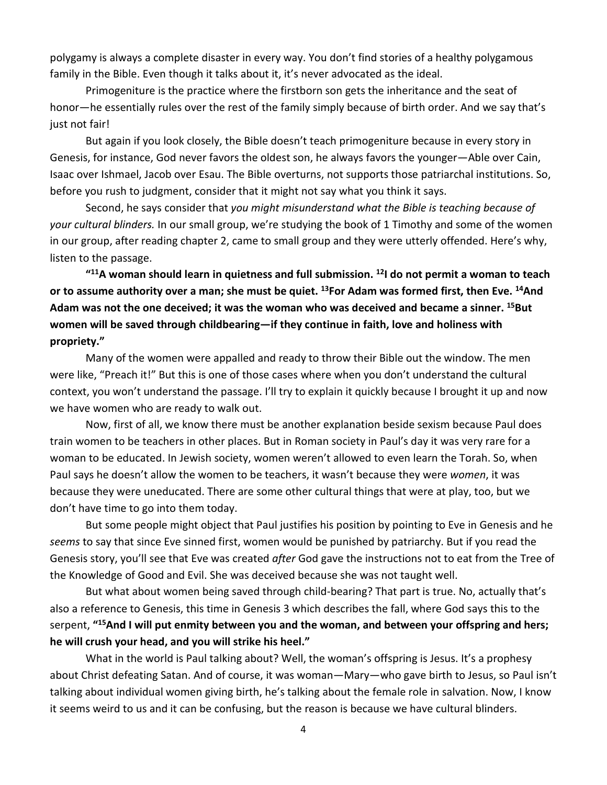polygamy is always a complete disaster in every way. You don't find stories of a healthy polygamous family in the Bible. Even though it talks about it, it's never advocated as the ideal.

Primogeniture is the practice where the firstborn son gets the inheritance and the seat of honor—he essentially rules over the rest of the family simply because of birth order. And we say that's just not fair!

But again if you look closely, the Bible doesn't teach primogeniture because in every story in Genesis, for instance, God never favors the oldest son, he always favors the younger—Able over Cain, Isaac over Ishmael, Jacob over Esau. The Bible overturns, not supports those patriarchal institutions. So, before you rush to judgment, consider that it might not say what you think it says.

Second, he says consider that *you might misunderstand what the Bible is teaching because of your cultural blinders.* In our small group, we're studying the book of 1 Timothy and some of the women in our group, after reading chapter 2, came to small group and they were utterly offended. Here's why, listen to the passage.

**"11A woman should learn in quietness and full submission. 12I do not permit a woman to teach or to assume authority over a man; she must be quiet. 13For Adam was formed first, then Eve. 14And Adam was not the one deceived; it was the woman who was deceived and became a sinner. 15But women will be saved through childbearing—if they continue in faith, love and holiness with propriety."**

Many of the women were appalled and ready to throw their Bible out the window. The men were like, "Preach it!" But this is one of those cases where when you don't understand the cultural context, you won't understand the passage. I'll try to explain it quickly because I brought it up and now we have women who are ready to walk out.

Now, first of all, we know there must be another explanation beside sexism because Paul does train women to be teachers in other places. But in Roman society in Paul's day it was very rare for a woman to be educated. In Jewish society, women weren't allowed to even learn the Torah. So, when Paul says he doesn't allow the women to be teachers, it wasn't because they were *women*, it was because they were uneducated. There are some other cultural things that were at play, too, but we don't have time to go into them today.

But some people might object that Paul justifies his position by pointing to Eve in Genesis and he *seems* to say that since Eve sinned first, women would be punished by patriarchy. But if you read the Genesis story, you'll see that Eve was created *after* God gave the instructions not to eat from the Tree of the Knowledge of Good and Evil. She was deceived because she was not taught well.

But what about women being saved through child-bearing? That part is true. No, actually that's also a reference to Genesis, this time in Genesis 3 which describes the fall, where God says this to the serpent, **"15And I will put enmity between you and the woman, and between your offspring and hers; he will crush your head, and you will strike his heel."**

What in the world is Paul talking about? Well, the woman's offspring is Jesus. It's a prophesy about Christ defeating Satan. And of course, it was woman—Mary—who gave birth to Jesus, so Paul isn't talking about individual women giving birth, he's talking about the female role in salvation. Now, I know it seems weird to us and it can be confusing, but the reason is because we have cultural blinders.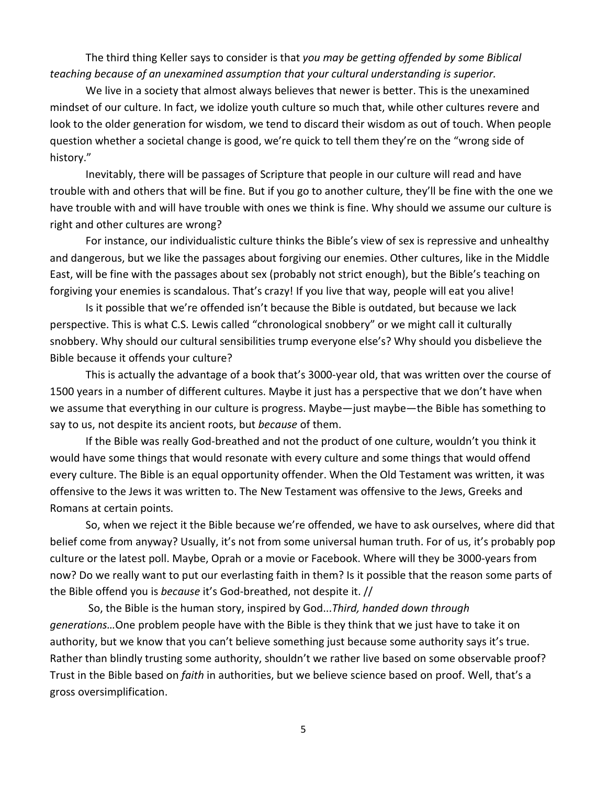The third thing Keller says to consider is that *you may be getting offended by some Biblical teaching because of an unexamined assumption that your cultural understanding is superior.*

We live in a society that almost always believes that newer is better. This is the unexamined mindset of our culture. In fact, we idolize youth culture so much that, while other cultures revere and look to the older generation for wisdom, we tend to discard their wisdom as out of touch. When people question whether a societal change is good, we're quick to tell them they're on the "wrong side of history."

Inevitably, there will be passages of Scripture that people in our culture will read and have trouble with and others that will be fine. But if you go to another culture, they'll be fine with the one we have trouble with and will have trouble with ones we think is fine. Why should we assume our culture is right and other cultures are wrong?

For instance, our individualistic culture thinks the Bible's view of sex is repressive and unhealthy and dangerous, but we like the passages about forgiving our enemies. Other cultures, like in the Middle East, will be fine with the passages about sex (probably not strict enough), but the Bible's teaching on forgiving your enemies is scandalous. That's crazy! If you live that way, people will eat you alive!

Is it possible that we're offended isn't because the Bible is outdated, but because we lack perspective. This is what C.S. Lewis called "chronological snobbery" or we might call it culturally snobbery. Why should our cultural sensibilities trump everyone else's? Why should you disbelieve the Bible because it offends your culture?

This is actually the advantage of a book that's 3000-year old, that was written over the course of 1500 years in a number of different cultures. Maybe it just has a perspective that we don't have when we assume that everything in our culture is progress. Maybe—just maybe—the Bible has something to say to us, not despite its ancient roots, but *because* of them.

If the Bible was really God-breathed and not the product of one culture, wouldn't you think it would have some things that would resonate with every culture and some things that would offend every culture. The Bible is an equal opportunity offender. When the Old Testament was written, it was offensive to the Jews it was written to. The New Testament was offensive to the Jews, Greeks and Romans at certain points.

So, when we reject it the Bible because we're offended, we have to ask ourselves, where did that belief come from anyway? Usually, it's not from some universal human truth. For of us, it's probably pop culture or the latest poll. Maybe, Oprah or a movie or Facebook. Where will they be 3000-years from now? Do we really want to put our everlasting faith in them? Is it possible that the reason some parts of the Bible offend you is *because* it's God-breathed, not despite it. //

So, the Bible is the human story, inspired by God...*Third, handed down through generations…*One problem people have with the Bible is they think that we just have to take it on authority, but we know that you can't believe something just because some authority says it's true. Rather than blindly trusting some authority, shouldn't we rather live based on some observable proof? Trust in the Bible based on *faith* in authorities, but we believe science based on proof. Well, that's a gross oversimplification.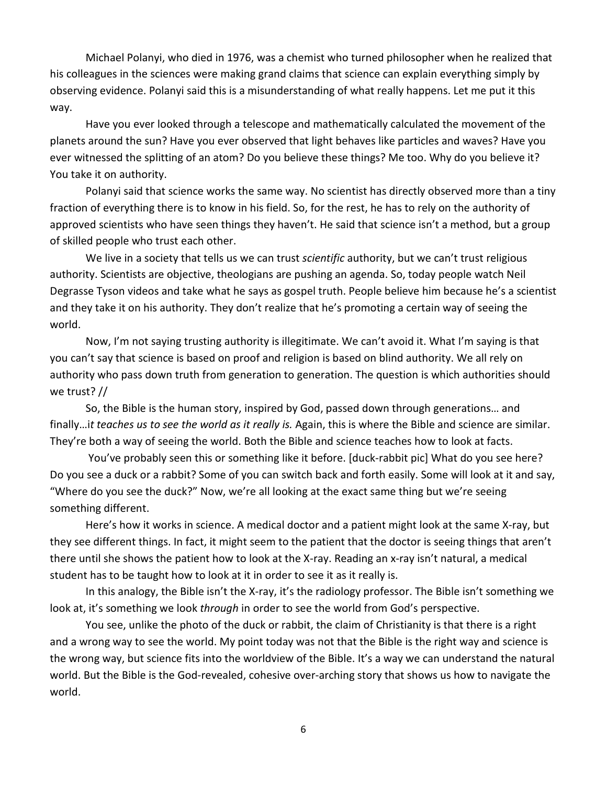Michael Polanyi, who died in 1976, was a chemist who turned philosopher when he realized that his colleagues in the sciences were making grand claims that science can explain everything simply by observing evidence. Polanyi said this is a misunderstanding of what really happens. Let me put it this way.

Have you ever looked through a telescope and mathematically calculated the movement of the planets around the sun? Have you ever observed that light behaves like particles and waves? Have you ever witnessed the splitting of an atom? Do you believe these things? Me too. Why do you believe it? You take it on authority.

Polanyi said that science works the same way. No scientist has directly observed more than a tiny fraction of everything there is to know in his field. So, for the rest, he has to rely on the authority of approved scientists who have seen things they haven't. He said that science isn't a method, but a group of skilled people who trust each other.

We live in a society that tells us we can trust *scientific* authority, but we can't trust religious authority. Scientists are objective, theologians are pushing an agenda. So, today people watch Neil Degrasse Tyson videos and take what he says as gospel truth. People believe him because he's a scientist and they take it on his authority. They don't realize that he's promoting a certain way of seeing the world.

Now, I'm not saying trusting authority is illegitimate. We can't avoid it. What I'm saying is that you can't say that science is based on proof and religion is based on blind authority. We all rely on authority who pass down truth from generation to generation. The question is which authorities should we trust? //

So, the Bible is the human story, inspired by God, passed down through generations… and finally…i*t teaches us to see the world as it really is.* Again, this is where the Bible and science are similar. They're both a way of seeing the world. Both the Bible and science teaches how to look at facts.

You've probably seen this or something like it before. [duck-rabbit pic] What do you see here? Do you see a duck or a rabbit? Some of you can switch back and forth easily. Some will look at it and say, "Where do you see the duck?" Now, we're all looking at the exact same thing but we're seeing something different.

Here's how it works in science. A medical doctor and a patient might look at the same X-ray, but they see different things. In fact, it might seem to the patient that the doctor is seeing things that aren't there until she shows the patient how to look at the X-ray. Reading an x-ray isn't natural, a medical student has to be taught how to look at it in order to see it as it really is.

In this analogy, the Bible isn't the X-ray, it's the radiology professor. The Bible isn't something we look at, it's something we look *through* in order to see the world from God's perspective.

You see, unlike the photo of the duck or rabbit, the claim of Christianity is that there is a right and a wrong way to see the world. My point today was not that the Bible is the right way and science is the wrong way, but science fits into the worldview of the Bible. It's a way we can understand the natural world. But the Bible is the God-revealed, cohesive over-arching story that shows us how to navigate the world.